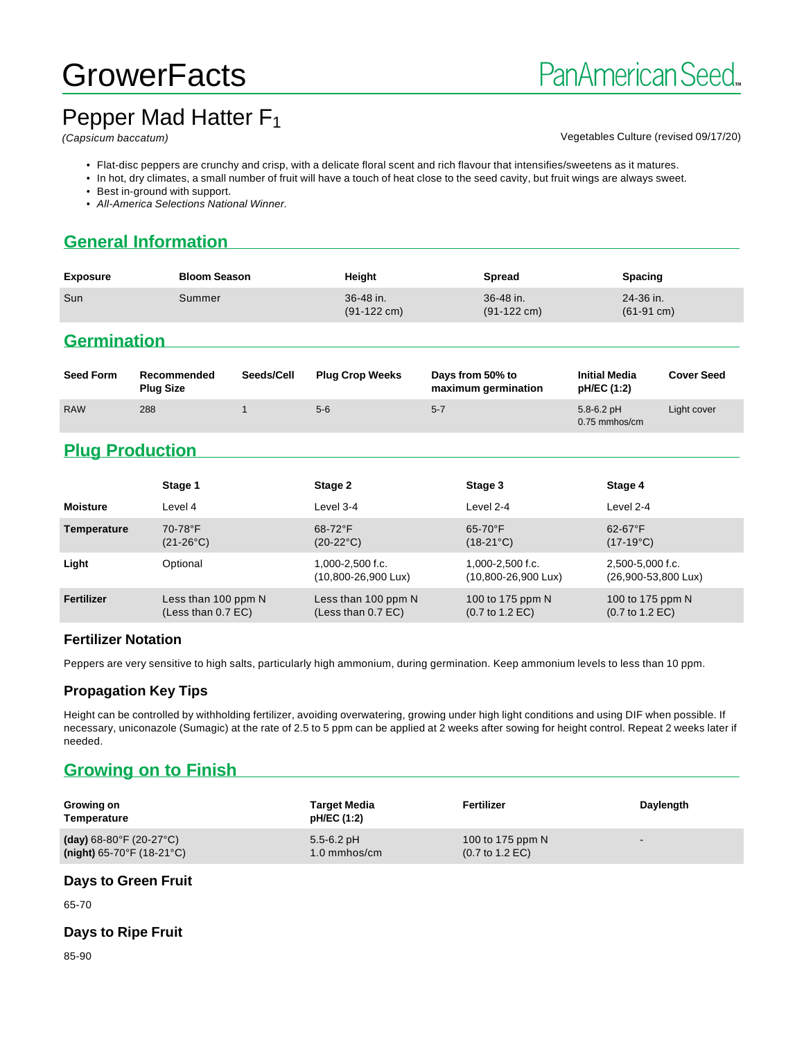# **GrowerFacts**

# Pepper Mad Hatter F<sub>1</sub>

#### (Capsicum baccatum) Vegetables Culture (revised 09/17/20)

- Flat-disc peppers are crunchy and crisp, with a delicate floral scent and rich flavour that intensifies/sweetens as it matures.
- In hot, dry climates, a small number of fruit will have a touch of heat close to the seed cavity, but fruit wings are always sweet.
- Best in-ground with support.
- All-America Selections National Winner.

## **General Information**

| <b>Exposure</b> | <b>Bloom Season</b> | Height                             | <b>Spread</b>                      | Spacing                           |
|-----------------|---------------------|------------------------------------|------------------------------------|-----------------------------------|
| Sun             | Summer              | 36-48 in.<br>$(91-122 \text{ cm})$ | 36-48 in.<br>$(91-122 \text{ cm})$ | 24-36 in.<br>$(61-91 \text{ cm})$ |

### **Germination**

| <b>Seed Form</b> | Recommended<br><b>Plug Size</b> | Seeds/Cell | <b>Plug Crop Weeks</b> | Days from 50% to<br>maximum germination | <b>Initial Media</b><br>pH/EC (1:2) | <b>Cover Seed</b> |
|------------------|---------------------------------|------------|------------------------|-----------------------------------------|-------------------------------------|-------------------|
| <b>RAW</b>       | 288                             |            | $5-6$                  | $5 - 7$                                 | $5.8 - 6.2$ pH<br>0.75 mmhos/cm     | Light cover       |

# **Plug Production**

|                 | Stage 1                                     | Stage 2                                             | Stage 3                                                | Stage 4                                                |
|-----------------|---------------------------------------------|-----------------------------------------------------|--------------------------------------------------------|--------------------------------------------------------|
| <b>Moisture</b> | Level 4                                     | Level 3-4                                           | Level 2-4                                              | Level 2-4                                              |
| Temperature     | 70-78°F<br>$(21-26^{\circ}C)$               | $68-72$ °F<br>$(20-22^{\circ}C)$                    | $65 - 70$ °F<br>$(18-21^{\circ}C)$                     | $62 - 67$ °F<br>$(17-19^{\circ}C)$                     |
| Light           | Optional                                    | 1,000-2,500 f.c.<br>$(10,800 - 26,900 \text{ Lux})$ | 1,000-2,500 f.c.<br>(10,800-26,900 Lux)                | 2,500-5,000 f.c.<br>(26,900-53,800 Lux)                |
| Fertilizer      | Less than 100 ppm N<br>(Less than $0.7$ EC) | Less than 100 ppm N<br>(Less than $0.7$ EC)         | 100 to 175 ppm N<br>$(0.7 \text{ to } 1.2 \text{ EC})$ | 100 to 175 ppm N<br>$(0.7 \text{ to } 1.2 \text{ EC})$ |

#### **Fertilizer Notation**

Peppers are very sensitive to high salts, particularly high ammonium, during germination. Keep ammonium levels to less than 10 ppm.

#### **Propagation Key Tips**

Height can be controlled by withholding fertilizer, avoiding overwatering, growing under high light conditions and using DIF when possible. If necessary, uniconazole (Sumagic) at the rate of 2.5 to 5 ppm can be applied at 2 weeks after sowing for height control. Repeat 2 weeks later if needed.

# **Growing on to Finish**

| Growing on<br>Temperature                      | <b>Target Media</b><br>pH/EC (1:2) | Fertilizer                         | Daylength                |
|------------------------------------------------|------------------------------------|------------------------------------|--------------------------|
| (day) $68-80^{\circ}$ F (20-27 $^{\circ}$ C)   | $5.5 - 6.2$ pH                     | 100 to 175 ppm N                   | $\overline{\phantom{a}}$ |
| (night) $65-70^{\circ}$ F (18-21 $^{\circ}$ C) | $1.0 \text{ mm}$ hos/cm            | $(0.7 \text{ to } 1.2 \text{ EC})$ |                          |

#### **Days to Green Fruit**

65-70

#### **Days to Ripe Fruit**

85-90